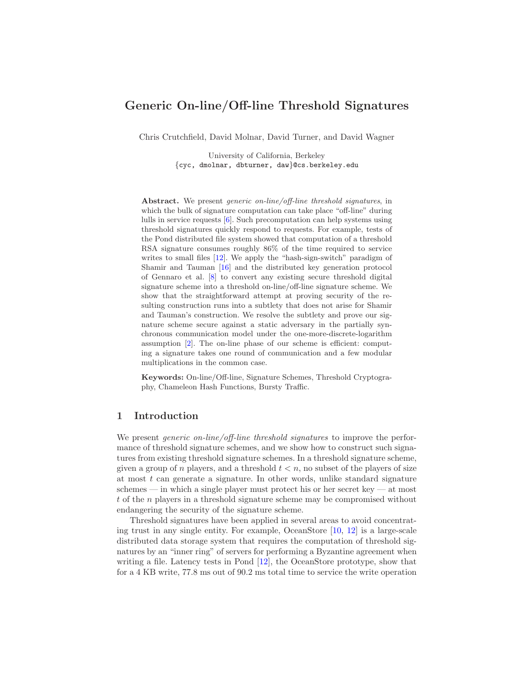# Generic On-line/Off-line Threshold Signatures

Chris Crutchfield, David Molnar, David Turner, and David Wagner

University of California, Berkeley {cyc, dmolnar, dbturner, daw}@cs.berkeley.edu

Abstract. We present generic on-line/off-line threshold signatures, in which the bulk of signature computation can take place "off-line" during lulls in service requests [\[6\]](#page-16-0). Such precomputation can help systems using threshold signatures quickly respond to requests. For example, tests of the Pond distributed file system showed that computation of a threshold RSA signature consumes roughly 86% of the time required to service writes to small files [\[12\]](#page-16-1). We apply the "hash-sign-switch" paradigm of Shamir and Tauman [\[16\]](#page-16-2) and the distributed key generation protocol of Gennaro et al. [\[8\]](#page-16-3) to convert any existing secure threshold digital signature scheme into a threshold on-line/off-line signature scheme. We show that the straightforward attempt at proving security of the resulting construction runs into a subtlety that does not arise for Shamir and Tauman's construction. We resolve the subtlety and prove our signature scheme secure against a static adversary in the partially synchronous communication model under the one-more-discrete-logarithm assumption [\[2\]](#page-16-4). The on-line phase of our scheme is efficient: computing a signature takes one round of communication and a few modular multiplications in the common case.

Keywords: On-line/Off-line, Signature Schemes, Threshold Cryptography, Chameleon Hash Functions, Bursty Traffic.

# 1 Introduction

We present *generic on-line/off-line threshold signatures* to improve the performance of threshold signature schemes, and we show how to construct such signatures from existing threshold signature schemes. In a threshold signature scheme, given a group of n players, and a threshold  $t < n$ , no subset of the players of size at most  $t$  can generate a signature. In other words, unlike standard signature schemes — in which a single player must protect his or her secret key — at most t of the n players in a threshold signature scheme may be compromised without endangering the security of the signature scheme.

Threshold signatures have been applied in several areas to avoid concentrating trust in any single entity. For example, OceanStore [\[10,](#page-16-5) [12\]](#page-16-1) is a large-scale distributed data storage system that requires the computation of threshold signatures by an "inner ring" of servers for performing a Byzantine agreement when writing a file. Latency tests in Pond [\[12\]](#page-16-1), the OceanStore prototype, show that for a 4 KB write, 77.8 ms out of 90.2 ms total time to service the write operation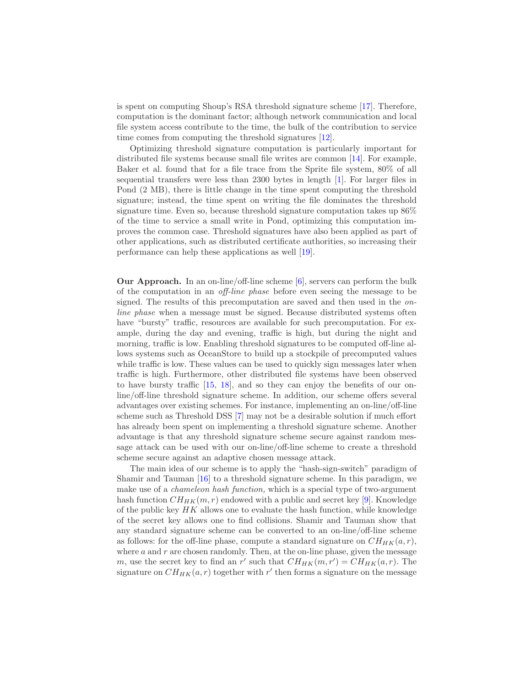is spent on computing Shoup's RSA threshold signature scheme [\[17\]](#page-16-6). Therefore, computation is the dominant factor; although network communication and local file system access contribute to the time, the bulk of the contribution to service time comes from computing the threshold signatures [\[12\]](#page-16-1).

Optimizing threshold signature computation is particularly important for distributed file systems because small file writes are common [\[14\]](#page-16-7). For example, Baker et al. found that for a file trace from the Sprite file system, 80% of all sequential transfers were less than 2300 bytes in length [\[1\]](#page-15-0). For larger files in Pond (2 MB), there is little change in the time spent computing the threshold signature; instead, the time spent on writing the file dominates the threshold signature time. Even so, because threshold signature computation takes up 86% of the time to service a small write in Pond, optimizing this computation improves the common case. Threshold signatures have also been applied as part of other applications, such as distributed certificate authorities, so increasing their performance can help these applications as well [\[19\]](#page-16-8).

Our Approach. In an on-line/off-line scheme [\[6\]](#page-16-0), servers can perform the bulk of the computation in an off-line phase before even seeing the message to be signed. The results of this precomputation are saved and then used in the online phase when a message must be signed. Because distributed systems often have "bursty" traffic, resources are available for such precomputation. For example, during the day and evening, traffic is high, but during the night and morning, traffic is low. Enabling threshold signatures to be computed off-line allows systems such as OceanStore to build up a stockpile of precomputed values while traffic is low. These values can be used to quickly sign messages later when traffic is high. Furthermore, other distributed file systems have been observed to have bursty traffic [\[15,](#page-16-9) [18\]](#page-16-10), and so they can enjoy the benefits of our online/off-line threshold signature scheme. In addition, our scheme offers several advantages over existing schemes. For instance, implementing an on-line/off-line scheme such as Threshold DSS [\[7\]](#page-16-11) may not be a desirable solution if much effort has already been spent on implementing a threshold signature scheme. Another advantage is that any threshold signature scheme secure against random message attack can be used with our on-line/off-line scheme to create a threshold scheme secure against an adaptive chosen message attack.

The main idea of our scheme is to apply the "hash-sign-switch" paradigm of Shamir and Tauman [\[16\]](#page-16-2) to a threshold signature scheme. In this paradigm, we make use of a *chameleon hash function*, which is a special type of two-argument hash function  $CH_{HK}(m, r)$  endowed with a public and secret key [\[9\]](#page-16-12). Knowledge of the public key  $HK$  allows one to evaluate the hash function, while knowledge of the secret key allows one to find collisions. Shamir and Tauman show that any standard signature scheme can be converted to an on-line/off-line scheme as follows: for the off-line phase, compute a standard signature on  $CH_{HK}(a, r)$ , where  $a$  and  $r$  are chosen randomly. Then, at the on-line phase, given the message m, use the secret key to find an r' such that  $CH_{HK}(m, r') = CH_{HK}(a, r)$ . The signature on  $CH_{HK}(a, r)$  together with r' then forms a signature on the message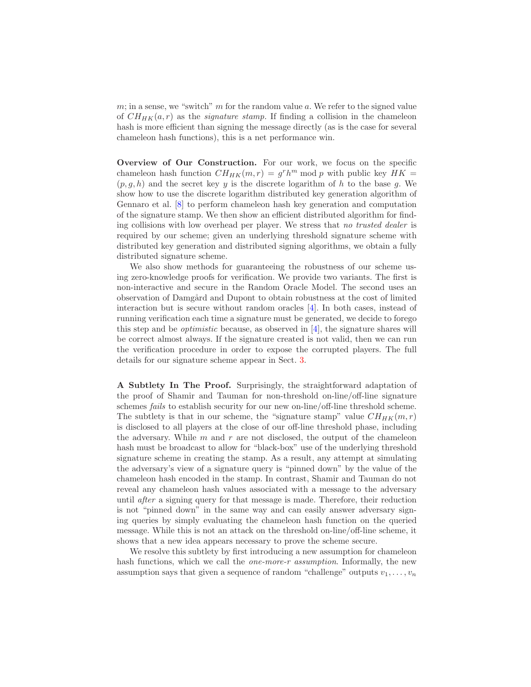m; in a sense, we "switch" m for the random value  $a$ . We refer to the signed value of  $CH_{HK}(a, r)$  as the *signature stamp*. If finding a collision in the chameleon hash is more efficient than signing the message directly (as is the case for several chameleon hash functions), this is a net performance win.

Overview of Our Construction. For our work, we focus on the specific chameleon hash function  $CH_{HK}(m, r) = g^r h^m \mod p$  with public key  $HK =$  $(p, g, h)$  and the secret key y is the discrete logarithm of h to the base g. We show how to use the discrete logarithm distributed key generation algorithm of Gennaro et al. [\[8\]](#page-16-3) to perform chameleon hash key generation and computation of the signature stamp. We then show an efficient distributed algorithm for finding collisions with low overhead per player. We stress that no trusted dealer is required by our scheme; given an underlying threshold signature scheme with distributed key generation and distributed signing algorithms, we obtain a fully distributed signature scheme.

We also show methods for guaranteeing the robustness of our scheme using zero-knowledge proofs for verification. We provide two variants. The first is non-interactive and secure in the Random Oracle Model. The second uses an observation of Damg˚ard and Dupont to obtain robustness at the cost of limited interaction but is secure without random oracles [\[4\]](#page-16-13). In both cases, instead of running verification each time a signature must be generated, we decide to forego this step and be optimistic because, as observed in [\[4\]](#page-16-13), the signature shares will be correct almost always. If the signature created is not valid, then we can run the verification procedure in order to expose the corrupted players. The full details for our signature scheme appear in Sect. [3.](#page-7-0)

A Subtlety In The Proof. Surprisingly, the straightforward adaptation of the proof of Shamir and Tauman for non-threshold on-line/off-line signature schemes fails to establish security for our new on-line/off-line threshold scheme. The subtlety is that in our scheme, the "signature stamp" value  $CH_{HK}(m, r)$ is disclosed to all players at the close of our off-line threshold phase, including the adversary. While  $m$  and  $r$  are not disclosed, the output of the chameleon hash must be broadcast to allow for "black-box" use of the underlying threshold signature scheme in creating the stamp. As a result, any attempt at simulating the adversary's view of a signature query is "pinned down" by the value of the chameleon hash encoded in the stamp. In contrast, Shamir and Tauman do not reveal any chameleon hash values associated with a message to the adversary until after a signing query for that message is made. Therefore, their reduction is not "pinned down" in the same way and can easily answer adversary signing queries by simply evaluating the chameleon hash function on the queried message. While this is not an attack on the threshold on-line/off-line scheme, it shows that a new idea appears necessary to prove the scheme secure.

We resolve this subtlety by first introducing a new assumption for chameleon hash functions, which we call the *one-more-r assumption*. Informally, the new assumption says that given a sequence of random "challenge" outputs  $v_1, \ldots, v_n$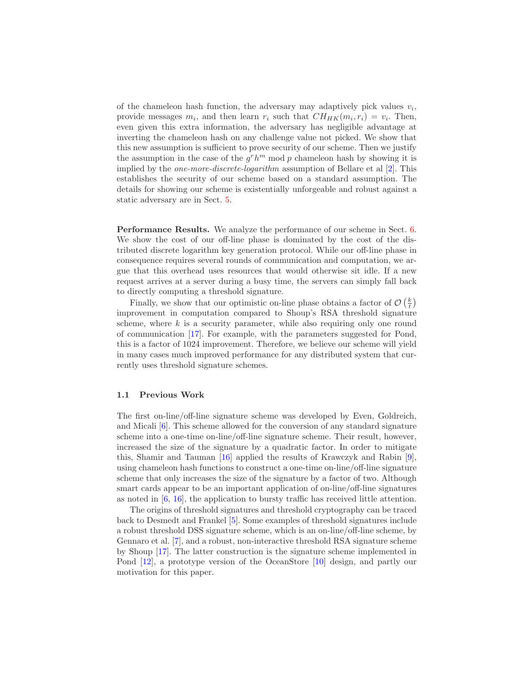of the chameleon hash function, the adversary may adaptively pick values  $v_i$ , provide messages  $m_i$ , and then learn  $r_i$  such that  $CH_{HK}(m_i, r_i) = v_i$ . Then, even given this extra information, the adversary has negligible advantage at inverting the chameleon hash on any challenge value not picked. We show that this new assumption is sufficient to prove security of our scheme. Then we justify the assumption in the case of the  $g^r h^m$  mod p chameleon hash by showing it is implied by the one-more-discrete-logarithm assumption of Bellare et al [\[2\]](#page-16-4). This establishes the security of our scheme based on a standard assumption. The details for showing our scheme is existentially unforgeable and robust against a static adversary are in Sect. [5.](#page-11-0)

Performance Results. We analyze the performance of our scheme in Sect. [6.](#page-14-0) We show the cost of our off-line phase is dominated by the cost of the distributed discrete logarithm key generation protocol. While our off-line phase in consequence requires several rounds of communication and computation, we argue that this overhead uses resources that would otherwise sit idle. If a new request arrives at a server during a busy time, the servers can simply fall back to directly computing a threshold signature.

Finally, we show that our optimistic on-line phase obtains a factor of  $\mathcal{O}\left(\frac{k}{t}\right)$ improvement in computation compared to Shoup's RSA threshold signature scheme, where  $k$  is a security parameter, while also requiring only one round of communication [\[17\]](#page-16-6). For example, with the parameters suggested for Pond, this is a factor of 1024 improvement. Therefore, we believe our scheme will yield in many cases much improved performance for any distributed system that currently uses threshold signature schemes.

### 1.1 Previous Work

The first on-line/off-line signature scheme was developed by Even, Goldreich, and Micali [\[6\]](#page-16-0). This scheme allowed for the conversion of any standard signature scheme into a one-time on-line/off-line signature scheme. Their result, however, increased the size of the signature by a quadratic factor. In order to mitigate this, Shamir and Tauman [\[16\]](#page-16-2) applied the results of Krawczyk and Rabin [\[9\]](#page-16-12), using chameleon hash functions to construct a one-time on-line/off-line signature scheme that only increases the size of the signature by a factor of two. Although smart cards appear to be an important application of on-line/off-line signatures as noted in [\[6,](#page-16-0) [16\]](#page-16-2), the application to bursty traffic has received little attention.

The origins of threshold signatures and threshold cryptography can be traced back to Desmedt and Frankel [\[5\]](#page-16-14). Some examples of threshold signatures include a robust threshold DSS signature scheme, which is an on-line/off-line scheme, by Gennaro et al. [\[7\]](#page-16-11), and a robust, non-interactive threshold RSA signature scheme by Shoup [\[17\]](#page-16-6). The latter construction is the signature scheme implemented in Pond [\[12\]](#page-16-1), a prototype version of the OceanStore [\[10\]](#page-16-5) design, and partly our motivation for this paper.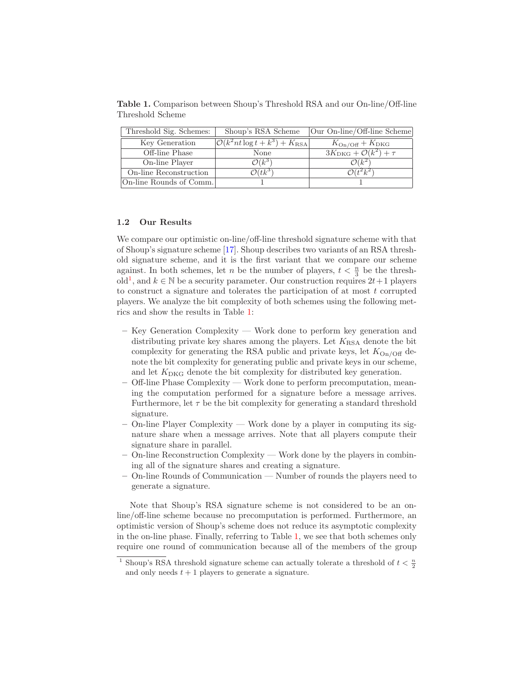<span id="page-4-1"></span>Table 1. Comparison between Shoup's Threshold RSA and our On-line/Off-line Threshold Scheme

| Threshold Sig. Schemes: | Shoup's RSA Scheme                                             | Our On-line/Off-line Scheme                 |
|-------------------------|----------------------------------------------------------------|---------------------------------------------|
| Key Generation          | $\left \mathcal{O}(k^2nt\log t + k^3) + K_{\text{RSA}}\right $ | $K_{\text{On}/\text{Off}} + K_{\text{DKG}}$ |
| Off-line Phase          | None                                                           | $3K_{\text{DKG}} + \mathcal{O}(k^2) + \tau$ |
| On-line Player          | $\mathcal{O}(k^3)$                                             | $\mathcal{O}(k^2)$                          |
| On-line Reconstruction  | $\mathcal{O}(tk^3)$                                            | $\mathcal{O}(t^2k^2)$                       |
| On-line Rounds of Comm. |                                                                |                                             |

## 1.2 Our Results

We compare our optimistic on-line/off-line threshold signature scheme with that of Shoup's signature scheme [\[17\]](#page-16-6). Shoup describes two variants of an RSA threshold signature scheme, and it is the first variant that we compare our scheme against. In both schemes, let *n* be the number of players,  $t < \frac{n}{3}$  be the thresh-old<sup>[1](#page-4-0)</sup>, and  $k \in \mathbb{N}$  be a security parameter. Our construction requires  $2t+1$  players to construct a signature and tolerates the participation of at most  $t$  corrupted players. We analyze the bit complexity of both schemes using the following metrics and show the results in Table [1:](#page-4-1)

- Key Generation Complexity Work done to perform key generation and distributing private key shares among the players. Let  $K_{\text{RSA}}$  denote the bit complexity for generating the RSA public and private keys, let  $K_{\text{On}/\text{Off}}$  denote the bit complexity for generating public and private keys in our scheme, and let  $K_{\text{DKG}}$  denote the bit complexity for distributed key generation.
- Off-line Phase Complexity Work done to perform precomputation, meaning the computation performed for a signature before a message arrives. Furthermore, let  $\tau$  be the bit complexity for generating a standard threshold signature.
- On-line Player Complexity Work done by a player in computing its signature share when a message arrives. Note that all players compute their signature share in parallel.
- On-line Reconstruction Complexity Work done by the players in combining all of the signature shares and creating a signature.
- On-line Rounds of Communication Number of rounds the players need to generate a signature.

Note that Shoup's RSA signature scheme is not considered to be an online/off-line scheme because no precomputation is performed. Furthermore, an optimistic version of Shoup's scheme does not reduce its asymptotic complexity in the on-line phase. Finally, referring to Table [1,](#page-4-1) we see that both schemes only require one round of communication because all of the members of the group

<span id="page-4-0"></span> $^1$  Shoup's RSA threshold signature scheme can actually tolerate a threshold of  $t<\frac{n}{2}$ and only needs  $t + 1$  players to generate a signature.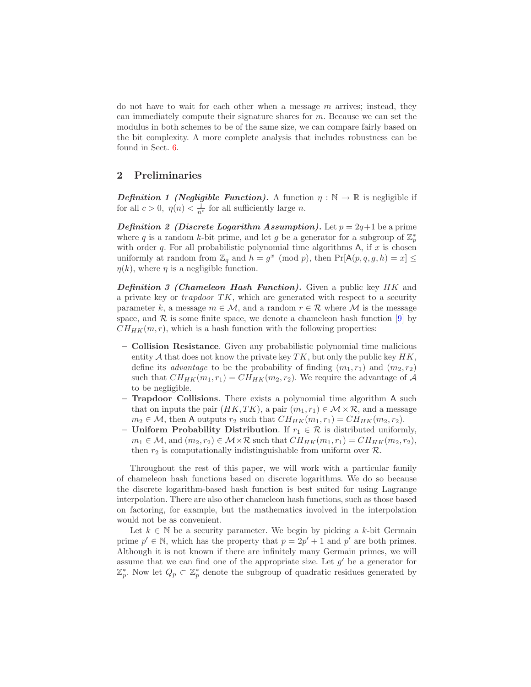do not have to wait for each other when a message  $m$  arrives; instead, they can immediately compute their signature shares for  $m$ . Because we can set the modulus in both schemes to be of the same size, we can compare fairly based on the bit complexity. A more complete analysis that includes robustness can be found in Sect. [6.](#page-14-0)

# 2 Preliminaries

**Definition 1 (Negligible Function).** A function  $\eta : \mathbb{N} \to \mathbb{R}$  is negligible if for all  $c > 0$ ,  $\eta(n) < \frac{1}{n^c}$  for all sufficiently large *n*.

**Definition 2** (Discrete Logarithm Assumption). Let  $p = 2q+1$  be a prime where q is a random k-bit prime, and let q be a generator for a subgroup of  $\mathbb{Z}_p^*$ with order  $q$ . For all probabilistic polynomial time algorithms A, if  $x$  is chosen uniformly at random from  $\mathbb{Z}_q$  and  $h = g^x \pmod{p}$ , then  $\Pr[A(p, q, g, h) = x] \le$  $\eta(k)$ , where  $\eta$  is a negligible function.

**Definition 3 (Chameleon Hash Function).** Given a public key  $HK$  and a private key or  $trapdoor$   $TK$ , which are generated with respect to a security parameter k, a message  $m \in \mathcal{M}$ , and a random  $r \in \mathcal{R}$  where M is the message space, and  $R$  is some finite space, we denote a chameleon hash function [\[9\]](#page-16-12) by  $CH_{HK}(m, r)$ , which is a hash function with the following properties:

- Collision Resistance. Given any probabilistic polynomial time malicious entity  $A$  that does not know the private key  $TK$ , but only the public key  $HK$ , define its *advantage* to be the probability of finding  $(m_1, r_1)$  and  $(m_2, r_2)$ such that  $CH_{HK}(m_1, r_1) = CH_{HK}(m_2, r_2)$ . We require the advantage of A to be negligible.
- Trapdoor Collisions. There exists a polynomial time algorithm A such that on inputs the pair  $(HK, TK)$ , a pair  $(m_1, r_1) \in \mathcal{M} \times \mathcal{R}$ , and a message  $m_2 \in \mathcal{M}$ , then A outputs  $r_2$  such that  $CH_{HK}(m_1, r_1) = CH_{HK}(m_2, r_2)$ .
- Uniform Probability Distribution. If  $r_1 \in \mathcal{R}$  is distributed uniformly,  $m_1 \in \mathcal{M}$ , and  $(m_2, r_2) \in \mathcal{M} \times \mathcal{R}$  such that  $CH_{HK}(m_1, r_1) = CH_{HK}(m_2, r_2)$ , then  $r_2$  is computationally indistinguishable from uniform over  $\mathcal{R}$ .

Throughout the rest of this paper, we will work with a particular family of chameleon hash functions based on discrete logarithms. We do so because the discrete logarithm-based hash function is best suited for using Lagrange interpolation. There are also other chameleon hash functions, such as those based on factoring, for example, but the mathematics involved in the interpolation would not be as convenient.

Let  $k \in \mathbb{N}$  be a security parameter. We begin by picking a k-bit Germain prime  $p' \in \mathbb{N}$ , which has the property that  $p = 2p' + 1$  and  $p'$  are both primes. Although it is not known if there are infinitely many Germain primes, we will assume that we can find one of the appropriate size. Let  $g'$  be a generator for  $\mathbb{Z}_p^*$ . Now let  $Q_p \subset \mathbb{Z}_p^*$  denote the subgroup of quadratic residues generated by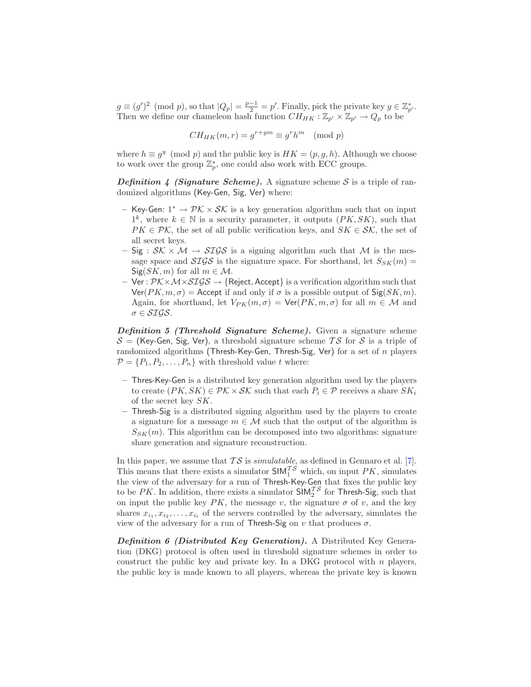$g \equiv (g')^2 \pmod{p}$ , so that  $|Q_p| = \frac{p-1}{2} = p'$ . Finally, pick the private key  $y \in \mathbb{Z}_{p'}^*$ . Then we define our chameleon hash function  $CH_{HK} : \mathbb{Z}_{p'} \times \mathbb{Z}_{p'} \to Q_p$  to be

$$
CH_{HK}(m,r) = g^{r+ym} \equiv g^r h^m \pmod{p}
$$

where  $h \equiv g^y \pmod{p}$  and the public key is  $HK = (p, g, h)$ . Although we choose to work over the group  $\mathbb{Z}_p^*$ , one could also work with ECC groups.

**Definition 4 (Signature Scheme).** A signature scheme S is a triple of randomized algorithms (Key-Gen, Sig, Ver) where:

- Key-Gen:  $1^* \rightarrow \mathcal{PK} \times \mathcal{SK}$  is a key generation algorithm such that on input  $1^k$ , where  $k \in \mathbb{N}$  is a security parameter, it outputs  $(PK, SK)$ , such that  $PK \in \mathcal{PK}$ , the set of all public verification keys, and  $SK \in \mathcal{SK}$ , the set of all secret keys.
- Sig :  $\mathcal{SK} \times \mathcal{M} \rightarrow \mathcal{SIGS}$  is a signing algorithm such that M is the message space and  $\mathcal{SIGS}$  is the signature space. For shorthand, let  $S_{SK}(m)$  =  $Sig(SK, m)$  for all  $m \in \mathcal{M}$ .
- Ver:  $\mathcal{PK}\times\mathcal{M}\times\mathcal{SIGS}$   $\rightarrow$  {Reject, Accept} is a verification algorithm such that  $\text{Ver}(PK, m, \sigma) = \text{Accept if and only if } \sigma \text{ is a possible output of } \text{Sig}(SK, m).$ Again, for shorthand, let  $V_{PK}(m, \sigma) = \text{Ver}(PK, m, \sigma)$  for all  $m \in \mathcal{M}$  and  $\sigma \in \mathcal{SIGS}.$

<span id="page-6-0"></span>Definition 5 (Threshold Signature Scheme). Given a signature scheme  $S =$  (Key-Gen, Sig, Ver), a threshold signature scheme TS for S is a triple of randomized algorithms (Thresh-Key-Gen, Thresh-Sig, Ver) for a set of  $n$  players  $\mathcal{P} = \{P_1, P_2, \ldots, P_n\}$  with threshold value t where:

- Thres-Key-Gen is a distributed key generation algorithm used by the players to create  $(PK, SK) \in \mathcal{PK} \times \mathcal{SK}$  such that each  $P_i \in \mathcal{P}$  receives a share  $SK_i$ of the secret key SK.
- Thresh-Sig is a distributed signing algorithm used by the players to create a signature for a message  $m \in \mathcal{M}$  such that the output of the algorithm is  $S_{SK}(m)$ . This algorithm can be decomposed into two algorithms: signature share generation and signature reconstruction.

In this paper, we assume that  $TS$  is *simulatable*, as defined in Gennaro et al. [\[7\]](#page-16-11). This means that there exists a simulator  $\mathsf{SIM}_1^{\mathcal{TS}}$  which, on input  $PK$ , simulates the view of the adversary for a run of Thresh-Key-Gen that fixes the public key to be  $PK$ . In addition, there exists a simulator  $\mathsf{SIM}_2^{\mathcal{TS}}$  for Thresh-Sig, such that on input the public key PK, the message v, the signature  $\sigma$  of v, and the key shares  $x_{i_1}, x_{i_2}, \ldots, x_{i_t}$  of the servers controlled by the adversary, simulates the view of the adversary for a run of Thresh-Sig on  $v$  that produces  $\sigma$ .

Definition 6 (Distributed Key Generation). A Distributed Key Generation (DKG) protocol is often used in threshold signature schemes in order to construct the public key and private key. In a DKG protocol with  $n$  players, the public key is made known to all players, whereas the private key is known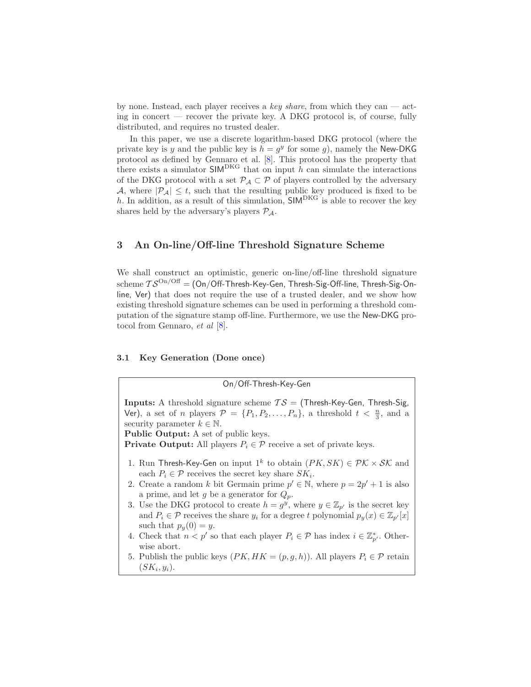by none. Instead, each player receives a key share, from which they can — acting in concert — recover the private key. A DKG protocol is, of course, fully distributed, and requires no trusted dealer.

In this paper, we use a discrete logarithm-based DKG protocol (where the private key is y and the public key is  $h = g^y$  for some g), namely the New-DKG protocol as defined by Gennaro et al. [\[8\]](#page-16-3). This protocol has the property that there exists a simulator  $SIM^{DKG}$  that on input h can simulate the interactions of the DKG protocol with a set  $\mathcal{P}_{\mathcal{A}} \subset \mathcal{P}$  of players controlled by the adversary A, where  $|\mathcal{P}_A| \leq t$ , such that the resulting public key produced is fixed to be h. In addition, as a result of this simulation,  $SIM<sup>DKG</sup>$  is able to recover the key shares held by the adversary's players  $\mathcal{P}_4$ .

# <span id="page-7-0"></span>3 An On-line/Off-line Threshold Signature Scheme

We shall construct an optimistic, generic on-line/off-line threshold signature scheme  $TS^{\text{On}/\text{Off}} = (\text{On}/\text{Off-Thresh-Key-Gen}, \text{Thresh-Sig-Off-line}, \text{Thresh-Sig-On-}$ line, Ver) that does not require the use of a trusted dealer, and we show how existing threshold signature schemes can be used in performing a threshold computation of the signature stamp off-line. Furthermore, we use the New-DKG protocol from Gennaro, et al [\[8\]](#page-16-3).

## 3.1 Key Generation (Done once)

On/Off-Thresh-Key-Gen **Inputs:** A threshold signature scheme  $TS =$  (Thresh-Key-Gen, Thresh-Sig, Ver), a set of *n* players  $P = \{P_1, P_2, \ldots, P_n\}$ , a threshold  $t < \frac{n}{3}$ , and a security parameter  $k \in \mathbb{N}$ . Public Output: A set of public keys. **Private Output:** All players  $P_i \in \mathcal{P}$  receive a set of private keys.

- 1. Run Thresh-Key-Gen on input  $1^k$  to obtain  $(PK, SK) \in \mathcal{PK} \times \mathcal{SK}$  and each  $P_i \in \mathcal{P}$  receives the secret key share  $SK_i$ .
- 2. Create a random k bit Germain prime  $p' \in \mathbb{N}$ , where  $p = 2p' + 1$  is also a prime, and let g be a generator for  $Q_p$ .
- 3. Use the DKG protocol to create  $h = g^y$ , where  $y \in \mathbb{Z}_{p'}$  is the secret key and  $P_i \in \mathcal{P}$  receives the share  $y_i$  for a degree t polynomial  $p_y(x) \in \mathbb{Z}_{p'}[x]$ such that  $p_y(0) = y$ .
- 4. Check that  $n < p'$  so that each player  $P_i \in \mathcal{P}$  has index  $i \in \mathbb{Z}_{p'}^*$ . Otherwise abort.
- 5. Publish the public keys  $(PK, HK = (p, g, h))$ . All players  $P_i \in \mathcal{P}$  retain  $(SK_i, y_i).$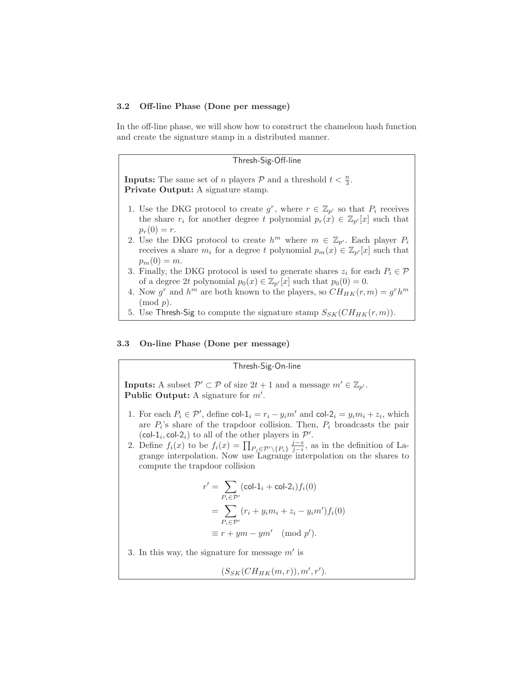#### 3.2 Off-line Phase (Done per message)

In the off-line phase, we will show how to construct the chameleon hash function and create the signature stamp in a distributed manner.

## Thresh-Sig-Off-line

**Inputs:** The same set of *n* players  $P$  and a threshold  $t < \frac{n}{3}$ . Private Output: A signature stamp.

- 1. Use the DKG protocol to create  $g^r$ , where  $r \in \mathbb{Z}_{p'}$  so that  $P_i$  receives the share  $r_i$  for another degree t polynomial  $p_r(x) \in \mathbb{Z}_{p'}[x]$  such that  $p_r(0) = r$ .
- 2. Use the DKG protocol to create  $h^m$  where  $m \in \mathbb{Z}_{p'}$ . Each player  $P_i$ receives a share  $m_i$  for a degree t polynomial  $p_m(x) \in \mathbb{Z}_{p'}[x]$  such that  $p_m(0) = m$ .
- 3. Finally, the DKG protocol is used to generate shares  $z_i$  for each  $P_i \in \mathcal{P}$ of a degree 2t polynomial  $p_0(x) \in \mathbb{Z}_{p'}[x]$  such that  $p_0(0) = 0$ .
- 4. Now  $g^r$  and  $h^m$  are both known to the players, so  $CH_{HK}(r, m) = g^r h^m$  $\pmod{p}$ .
- 5. Use Thresh-Sig to compute the signature stamp  $S_{SK}(CH_{HK}(r, m))$ .

## 3.3 On-line Phase (Done per message)

## Thresh-Sig-On-line

**Inputs:** A subset  $\mathcal{P}' \subset \mathcal{P}$  of size  $2t + 1$  and a message  $m' \in \mathbb{Z}_{p'}$ . Public Output: A signature for  $m'$ .

- 1. For each  $P_i \in \mathcal{P}'$ , define col- $1_i = r_i y_i m'$  and col- $2_i = y_i m_i + z_i$ , which are  $P_i$ 's share of the trapdoor collision. Then,  $P_i$  broadcasts the pair (col-1<sub>i</sub>, col-2<sub>i</sub>) to all of the other players in  $\mathcal{P}'$ .
- 2. Define  $f_i(x)$  to be  $f_i(x) = \prod_{P_j \in \mathcal{P}' \setminus \{P_i\}} \frac{j-x}{j-i}$ , as in the definition of Lagrange interpolation. Now use Lagrange interpolation on the shares to compute the trapdoor collision

$$
r' = \sum_{P_i \in \mathcal{P}'} (\text{col-1}_i + \text{col-2}_i) f_i(0)
$$
  
= 
$$
\sum_{P_i \in \mathcal{P}'} (r_i + y_i m_i + z_i - y_i m') f_i(0)
$$
  

$$
\equiv r + ym - ym' \pmod{p'}.
$$

3. In this way, the signature for message  $m'$  is

 $(S_{SK}(CH_{HK}(m, r)), m', r').$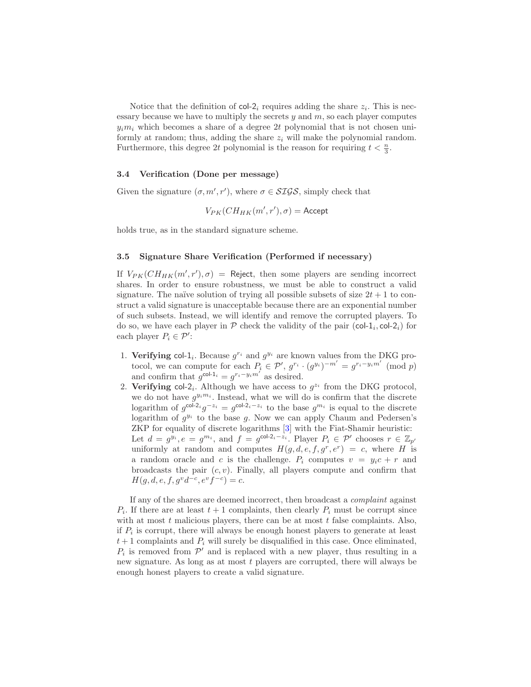Notice that the definition of  $col-2<sub>i</sub>$  requires adding the share  $z<sub>i</sub>$ . This is necessary because we have to multiply the secrets  $y$  and  $m$ , so each player computes  $y_i m_i$  which becomes a share of a degree 2t polynomial that is not chosen uniformly at random; thus, adding the share  $z_i$  will make the polynomial random. Furthermore, this degree 2t polynomial is the reason for requiring  $t < \frac{n}{3}$ .

### 3.4 Verification (Done per message)

Given the signature  $(\sigma, m', r')$ , where  $\sigma \in \mathcal{SIGS}$ , simply check that

 $V_{PK}(CH_{HK}(m',r'),\sigma) = \text{Accept}$ 

holds true, as in the standard signature scheme.

### <span id="page-9-0"></span>3.5 Signature Share Verification (Performed if necessary)

If  $V_{PK}(CH_{HK}(m',r'), \sigma)$  = Reject, then some players are sending incorrect shares. In order to ensure robustness, we must be able to construct a valid signature. The naïve solution of trying all possible subsets of size  $2t + 1$  to construct a valid signature is unacceptable because there are an exponential number of such subsets. Instead, we will identify and remove the corrupted players. To do so, we have each player in  $P$  check the validity of the pair  $(\text{col-1}_i, \text{col-2}_i)$  for each player  $P_i \in \mathcal{P}'$ :

- 1. Verifying col-1<sub>i</sub>. Because  $g^{r_i}$  and  $g^{y_i}$  are known values from the DKG protocol, we can compute for each  $P_i \in \mathcal{P}'$ ,  $g^{r_i} \cdot (g^{y_i})^{-m'} = g^{r_i - y_i m'} \pmod{p}$ and confirm that  $g^{\text{col-1}_i} = g^{r_i - y_i m'}$  as desired.
- 2. Verifying col-2<sub>i</sub>. Although we have access to  $g^{z_i}$  from the DKG protocol, we do not have  $g^{y_i m_i}$ . Instead, what we will do is confirm that the discrete logarithm of  $g^{\text{col-2}}ig^{-z_i} = g^{\text{col-2}}ig^{-z_i}$  to the base  $g^{m_i}$  is equal to the discrete logarithm of  $g^{y_i}$  to the base g. Now we can apply Chaum and Pedersen's ZKP for equality of discrete logarithms [\[3\]](#page-16-15) with the Fiat-Shamir heuristic: Let  $d = g^{y_i}, e = g^{m_i}$ , and  $f = g^{\text{col-2}_i - z_i}$ . Player  $P_i \in \mathcal{P}'$  chooses  $r \in \mathbb{Z}_{p'}$ uniformly at random and computes  $H(g, d, e, f, g^r, e^r) = c$ , where H is a random oracle and c is the challenge.  $P_i$  computes  $v = y_i c + r$  and broadcasts the pair  $(c, v)$ . Finally, all players compute and confirm that  $H(g, d, e, f, g^v d^{-c}, e^v f^{-c}) = c.$

If any of the shares are deemed incorrect, then broadcast a complaint against  $P_i$ . If there are at least  $t + 1$  complaints, then clearly  $P_i$  must be corrupt since with at most  $t$  malicious players, there can be at most  $t$  false complaints. Also, if  $P_i$  is corrupt, there will always be enough honest players to generate at least  $t+1$  complaints and  $P_i$  will surely be disqualified in this case. Once eliminated,  $P_i$  is removed from  $\mathcal{P}'$  and is replaced with a new player, thus resulting in a new signature. As long as at most t players are corrupted, there will always be enough honest players to create a valid signature.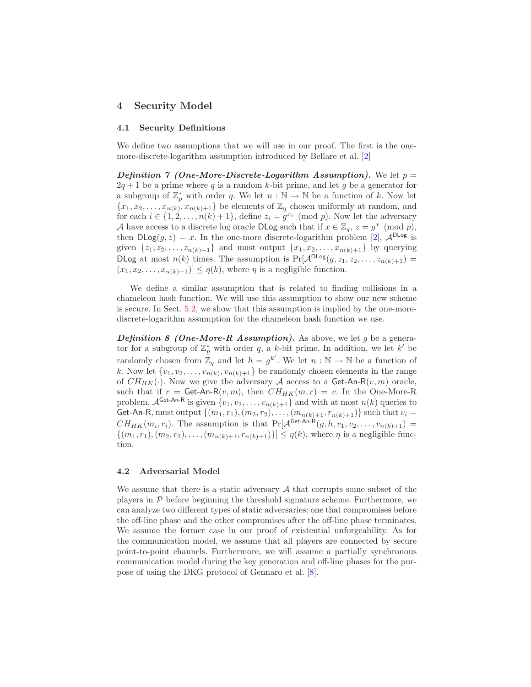# 4 Security Model

### 4.1 Security Definitions

We define two assumptions that we will use in our proof. The first is the onemore-discrete-logarithm assumption introduced by Bellare et al. [\[2\]](#page-16-4)

Definition 7 (One-More-Discrete-Logarithm Assumption). We let  $p =$  $2q + 1$  be a prime where q is a random k-bit prime, and let q be a generator for a subgroup of  $\mathbb{Z}_p^*$  with order q. We let  $n : \mathbb{N} \to \mathbb{N}$  be a function of k. Now let  ${x_1, x_2, \ldots, x_{n(k)}, x_{n(k)+1}}$  be elements of  $\mathbb{Z}_q$  chosen uniformly at random, and for each  $i \in \{1, 2, ..., n(k) + 1\}$ , define  $z_i = g^{x_i} \pmod{p}$ . Now let the adversary A have access to a discrete log oracle DLog such that if  $x \in \mathbb{Z}_q$ ,  $z = g^x \pmod{p}$ , then  $\text{DLog}(g, z) = x$ . In the one-more discrete-logarithm problem [\[2\]](#page-16-4),  $\mathcal{A}^{\text{DLog}}$  is given  $\{z_1, z_2, \ldots, z_{n(k)+1}\}\$  and must output  $\{x_1, x_2, \ldots, x_{n(k)+1}\}\$  by querying DLog at most  $n(k)$  times. The assumption is  $Pr[\mathcal{A}^{DLog}(g, z_1, z_2, \ldots, z_{n(k)+1})]$  $(x_1, x_2, \ldots, x_{n(k)+1}) \leq \eta(k)$ , where  $\eta$  is a negligible function.

We define a similar assumption that is related to finding collisions in a chameleon hash function. We will use this assumption to show our new scheme is secure. In Sect. [5.2,](#page-11-1) we show that this assumption is implied by the one-morediscrete-logarithm assumption for the chameleon hash function we use.

**Definition 8 (One-More-R Assumption).** As above, we let g be a generator for a subgroup of  $\mathbb{Z}_p^*$  with order q, a k-bit prime. In addition, we let k' be randomly chosen from  $\mathbb{Z}_q$  and let  $h = g^{k'}$ . We let  $n : \mathbb{N} \to \mathbb{N}$  be a function of k. Now let  $\{v_1, v_2, \ldots, v_{n(k)}, v_{n(k)+1}\}$  be randomly chosen elements in the range of  $CH_{HK}(\cdot)$ . Now we give the adversary A access to a Get-An-R $(v, m)$  oracle, such that if  $r = \text{Get-An-R}(v, m)$ , then  $CH_{HK}(m, r) = v$ . In the One-More-R problem,  $\mathcal{A}^{\mathsf{Get-An-R}}$  is given  $\{v_1, v_2, \ldots, v_{n(k)+1}\}\$  and with at most  $n(k)$  queries to Get-An-R, must output  $\{(m_1, r_1), (m_2, r_2), \ldots, (m_{n(k)+1}, r_{n(k)+1})\}$  such that  $v_i =$  $CH_{HK}(m_i,r_i)$ . The assumption is that  $Pr[\mathcal{A}^{\mathsf{Get-An-R}}(g,h,v_1,v_2,\ldots,v_{n(k)+1})]=$  $\{(m_1, r_1), (m_2, r_2), \ldots, (m_{n(k)+1}, r_{n(k)+1})\} \leq \eta(k)$ , where  $\eta$  is a negligible function.

## 4.2 Adversarial Model

We assume that there is a static adversary  $A$  that corrupts some subset of the players in  $P$  before beginning the threshold signature scheme. Furthermore, we can analyze two different types of static adversaries: one that compromises before the off-line phase and the other compromises after the off-line phase terminates. We assume the former case in our proof of existential unforgeability. As for the communication model, we assume that all players are connected by secure point-to-point channels. Furthermore, we will assume a partially synchronous communication model during the key generation and off-line phases for the purpose of using the DKG protocol of Gennaro et al. [\[8\]](#page-16-3).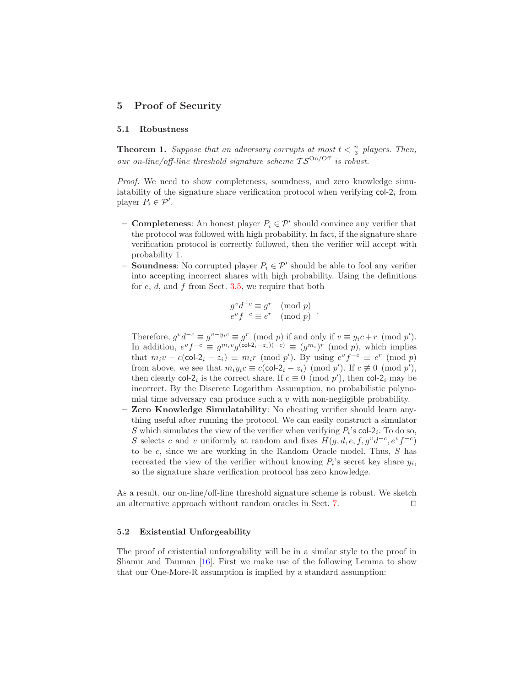# <span id="page-11-0"></span>5 Proof of Security

### 5.1 Robustness

**Theorem 1.** Suppose that an adversary corrupts at most  $t < \frac{n}{3}$  players. Then, our on-line/off-line threshold signature scheme  $TS^{\text{On}/\text{Off}}$  is robust.

Proof. We need to show completeness, soundness, and zero knowledge simulatability of the signature share verification protocol when verifying  $col-2<sub>i</sub>$  from player  $P_i \in \mathcal{P}'$ .

- − **Completeness**: An honest player  $P_i \in \mathcal{P}'$  should convince any verifier that the protocol was followed with high probability. In fact, if the signature share verification protocol is correctly followed, then the verifier will accept with probability 1.
- **Soundness:** No corrupted player  $P_i \in \mathcal{P}'$  should be able to fool any verifier into accepting incorrect shares with high probability. Using the definitions for  $e$ ,  $d$ , and  $f$  from Sect. [3.5,](#page-9-0) we require that both

$$
g^v d^{-c} \equiv g^r \pmod{p}
$$
  

$$
e^v f^{-c} \equiv e^r \pmod{p}
$$

.

Therefore,  $g^v d^{-c} \equiv g^{v-y_ic} \equiv g^r \pmod{p}$  if and only if  $v \equiv y_ic + r \pmod{p'}$ . In addition,  $e^v f^{-c} \equiv g^{m_i v} g^{(\text{col-2}_i - z_i)(-c)} \equiv (g^{m_i})^r \pmod{p}$ , which implies that  $m_i v - c(\text{col-2}_i - z_i) \equiv m_i r \pmod{p'}$ . By using  $e^v f^{-c} \equiv e^r \pmod{p}$ from above, we see that  $m_i y_i c \equiv c(\text{col-2}_i - z_i) \pmod{p'}$ . If  $c \not\equiv 0 \pmod{p'}$ , then clearly col- $2_i$  is the correct share. If  $c \equiv 0 \pmod{p'}$ , then col- $2_i$  may be incorrect. By the Discrete Logarithm Assumption, no probabilistic polynomial time adversary can produce such a  $v$  with non-negligible probability.

– Zero Knowledge Simulatability: No cheating verifier should learn anything useful after running the protocol. We can easily construct a simulator S which simulates the view of the verifier when verifying  $P_i$ 's col- $2_i$ . To do so, S selects c and v uniformly at random and fixes  $H(g, d, e, f, g^v d^{-c}, e^v f^{-c})$ to be c, since we are working in the Random Oracle model. Thus, S has recreated the view of the verifier without knowing  $P_i$ 's secret key share  $y_i$ , so the signature share verification protocol has zero knowledge.

As a result, our on-line/off-line threshold signature scheme is robust. We sketch an alternative approach without random oracles in Sect. [7.](#page-15-1) ⊓⊔

## <span id="page-11-1"></span>5.2 Existential Unforgeability

The proof of existential unforgeability will be in a similar style to the proof in Shamir and Tauman [\[16\]](#page-16-2). First we make use of the following Lemma to show that our One-More-R assumption is implied by a standard assumption: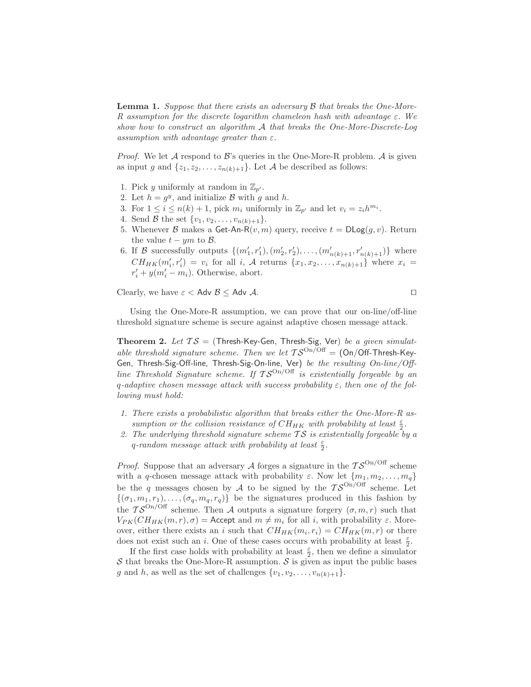**Lemma 1.** Suppose that there exists an adversary  $\beta$  that breaks the One-More-R assumption for the discrete logarithm chameleon hash with advantage  $\varepsilon$ . We show how to construct an algorithm A that breaks the One-More-Discrete-Log assumption with advantage greater than  $\varepsilon$ .

*Proof.* We let  $A$  respond to  $B$ 's queries in the One-More-R problem.  $A$  is given as input g and  $\{z_1, z_2, \ldots, z_{n(k)+1}\}\)$ . Let A be described as follows:

- 1. Pick y uniformly at random in  $\mathbb{Z}_{p'}$ .
- 2. Let  $h = g^y$ , and initialize  $\beta$  with g and h.
- 3. For  $1 \leq i \leq n(k) + 1$ , pick  $m_i$  uniformly in  $\mathbb{Z}_{p'}$  and let  $v_i = z_i h^{m_i}$ .
- 4. Send  $\mathcal{B}$  the set  $\{v_1, v_2, \ldots, v_{n(k)+1}\}.$
- 5. Whenever B makes a Get-An-R $(v, m)$  query, receive  $t = \textsf{DLog}(g, v)$ . Return the value  $t - ym$  to  $\beta$ .
- 6. If B successfully outputs  $\{(m'_1, r'_1), (m'_2, r'_2), \ldots, (m'_{n(k)+1}, r'_{n(k)+1})\}$  where  $CH_{HK}(m'_i, r'_i) = v_i$  for all i, A returns  $\{x_1, x_2, \ldots, x_{n(k)+1}\}\$  where  $x_i =$  $r'_i + y(m'_i - m_i)$ . Otherwise, abort.

Clearly, we have  $\varepsilon <$  Adv B < Adv A. □

Using the One-More-R assumption, we can prove that our on-line/off-line threshold signature scheme is secure against adaptive chosen message attack.

**Theorem 2.** Let  $TS =$  (Thresh-Key-Gen, Thresh-Sig, Ver) be a given simulatable threshold signature scheme. Then we let  $TS^{On/Off} = (On/Off-Thresh-Key-$ Gen, Thresh-Sig-Off-line, Thresh-Sig-On-line, Ver) be the resulting On-line/Offline Threshold Signature scheme. If  $TS^{On/Off}$  is existentially forgeable by an q-adaptive chosen message attack with success probability  $\varepsilon$ , then one of the following must hold:

- 1. There exists a probabilistic algorithm that breaks either the One-More-R assumption or the collision resistance of  $CH_{HK}$  with probability at least  $\frac{\varepsilon}{2}$ .
- 2. The underlying threshold signature scheme  $TS$  is existentially forgeable by a q-random message attack with probability at least  $\frac{\varepsilon}{2}$ .

*Proof.* Suppose that an adversary A forges a signature in the  $TS^{On/Off}$  scheme with a q-chosen message attack with probability  $\varepsilon$ . Now let  $\{m_1, m_2, \ldots, m_q\}$ be the q messages chosen by A to be signed by the  $TS^{\text{On}/\text{Off}}$  scheme. Let  $\{(\sigma_1, m_1, r_1), \ldots, (\sigma_q, m_q, r_q)\}\$ be the signatures produced in this fashion by the  $TS^{On/Off}$  scheme. Then A outputs a signature forgery  $(\sigma, m, r)$  such that  $V_{PK}(CH_{HK}(m, r), \sigma) =$  Accept and  $m \neq m_i$  for all i, with probability  $\varepsilon$ . Moreover, either there exists an i such that  $CH_{HK}(m_i, r_i) = CH_{HK}(m, r)$  or there does not exist such an *i*. One of these cases occurs with probability at least  $\frac{\varepsilon}{2}$ .

If the first case holds with probability at least  $\frac{\varepsilon}{2}$ , then we define a simulator  $\mathcal S$  that breaks the One-More-R assumption.  $\mathcal S$  is given as input the public bases g and h, as well as the set of challenges  $\{v_1, v_2, \ldots, v_{n(k)+1}\}.$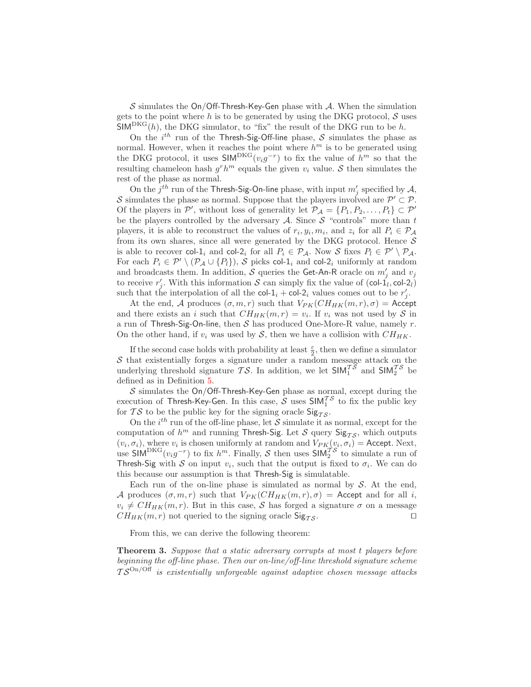S simulates the On/Off-Thresh-Key-Gen phase with  $\mathcal A$ . When the simulation gets to the point where h is to be generated by using the DKG protocol,  $S$  uses  $SIM<sup>DKG</sup>(h)$ , the DKG simulator, to "fix" the result of the DKG run to be h.

On the  $i^{th}$  run of the Thresh-Sig-Off-line phase, S simulates the phase as normal. However, when it reaches the point where  $h^m$  is to be generated using the DKG protocol, it uses  $\mathsf{SIM}^{\mathrm{DKG}}(v_i g^{-r})$  to fix the value of  $h^m$  so that the resulting chameleon hash  $g^r h^m$  equals the given  $v_i$  value. S then simulates the rest of the phase as normal.

On the  $j^{th}$  run of the Thresh-Sig-On-line phase, with input  $m'_j$  specified by  $\mathcal{A}$ , S simulates the phase as normal. Suppose that the players involved are  $\mathcal{P}' \subset \mathcal{P}$ . Of the players in  $\mathcal{P}'$ , without loss of generality let  $\mathcal{P}_{\mathcal{A}} = \{P_1, P_2, \ldots, P_t\} \subset \mathcal{P}'$ be the players controlled by the adversary  $A$ . Since  $S$  "controls" more than t players, it is able to reconstruct the values of  $r_i, y_i, m_i$ , and  $z_i$  for all  $P_i \in \mathcal{P}_{\mathcal{A}}$ from its own shares, since all were generated by the DKG protocol. Hence  $S$ is able to recover  $\text{col-1}_i$  and  $\text{col-2}_i$  for all  $P_i \in \mathcal{P}_\mathcal{A}$ . Now S fixes  $P_i \in \mathcal{P}' \setminus \mathcal{P}_\mathcal{A}$ . For each  $P_i \in \mathcal{P}' \setminus (\mathcal{P}_\mathcal{A} \cup \{P_i\}),$  S picks col-1<sub>i</sub> and col-2<sub>i</sub> uniformly at random and broadcasts them. In addition,  $S$  queries the Get-An-R oracle on  $m'_j$  and  $v_j$ to receive  $r'_j$ . With this information S can simply fix the value of  $(\text{col-1}_l, \text{col-2}_l)$ such that the interpolation of all the  $\text{col-1}_i + \text{col-2}_i$  values comes out to be  $r'_j$ .

At the end, A produces  $(\sigma, m, r)$  such that  $V_{PK}(CH_{HK}(m, r), \sigma) =$  Accept and there exists an *i* such that  $CH_{HK}(m, r) = v_i$ . If  $v_i$  was not used by S in a run of Thresh-Sig-On-line, then  $S$  has produced One-More-R value, namely  $r$ . On the other hand, if  $v_i$  was used by S, then we have a collision with  $CH_{HK}$ .

If the second case holds with probability at least  $\frac{\varepsilon}{2}$ , then we define a simulator  $S$  that existentially forges a signature under a random message attack on the underlying threshold signature TS. In addition, we let  $\text{SIM}_1^{\mathcal{TS}}$  and  $\text{SIM}_2^{\mathcal{TS}}$  be defined as in Definition [5.](#page-6-0)

 $\mathcal S$  simulates the On/Off-Thresh-Key-Gen phase as normal, except during the execution of Thresh-Key-Gen. In this case,  $S$  uses  $\textsf{SIM}_1^{\mathcal{TS}}$  to fix the public key for TS to be the public key for the signing oracle  $\text{Sig}_{TS}$ .

On the  $i^{th}$  run of the off-line phase, let S simulate it as normal, except for the computation of  $h^m$  and running Thresh-Sig. Let S query  $\text{Sig}_{TS}$ , which outputs  $(v_i, \sigma_i)$ , where  $v_i$  is chosen uniformly at random and  $V_{PK}(v_i, \sigma_i) =$  Accept. Next, use  $\mathsf{SIM}^{\mathrm{DKG}}(v_i g^{-r})$  to fix  $h^m$ . Finally, S then uses  $\mathsf{SIM}_2^{\mathcal{TS}}$  to simulate a run of Thresh-Sig with S on input  $v_i$ , such that the output is fixed to  $\sigma_i$ . We can do this because our assumption is that Thresh-Sig is simulatable.

Each run of the on-line phase is simulated as normal by  $S$ . At the end, A produces  $(\sigma, m, r)$  such that  $V_{PK}(CH_{HK}(m, r), \sigma) =$  Accept and for all i,  $v_i \neq CH_{HK}(m, r)$ . But in this case, S has forged a signature  $\sigma$  on a message  $CH_{HK}(m, r)$  not queried to the signing oracle Sig<sub>TS</sub>. □

From this, we can derive the following theorem:

Theorem 3. Suppose that a static adversary corrupts at most t players before beginning the off-line phase. Then our on-line/off-line threshold signature scheme  $TS^{On/Off}$  is existentially unforgeable against adaptive chosen message attacks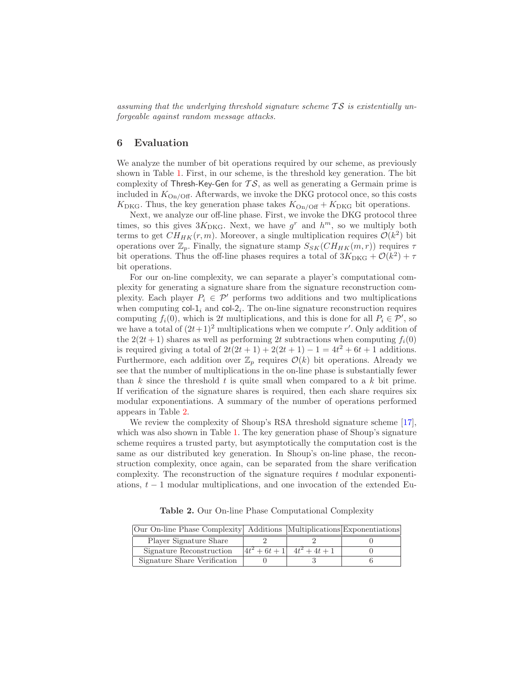assuming that the underlying threshold signature scheme  $TS$  is existentially unforgeable against random message attacks.

# <span id="page-14-0"></span>6 Evaluation

We analyze the number of bit operations required by our scheme, as previously shown in Table [1.](#page-4-1) First, in our scheme, is the threshold key generation. The bit complexity of Thresh-Key-Gen for  $TS$ , as well as generating a Germain prime is included in  $K_{\text{On}/\text{Off}}$ . Afterwards, we invoke the DKG protocol once, so this costs  $K_{\text{DKG}}$ . Thus, the key generation phase takes  $K_{\text{On}/\text{Off}} + K_{\text{DKG}}$  bit operations.

Next, we analyze our off-line phase. First, we invoke the DKG protocol three times, so this gives  $3K_{\text{DKG}}$ . Next, we have  $g^r$  and  $h^m$ , so we multiply both terms to get  $CH_{HK}(r, m)$ . Moreover, a single multiplication requires  $\mathcal{O}(k^2)$  bit operations over  $\mathbb{Z}_p$ . Finally, the signature stamp  $S_{SK}(CH_{HK}(m, r))$  requires  $\tau$ bit operations. Thus the off-line phases requires a total of  $3K_{\text{DKG}} + \mathcal{O}(k^2) + \tau$ bit operations.

For our on-line complexity, we can separate a player's computational complexity for generating a signature share from the signature reconstruction complexity. Each player  $P_i \in \mathcal{P}'$  performs two additions and two multiplications when computing  $col-1_i$  and  $col-2_i$ . The on-line signature reconstruction requires computing  $f_i(0)$ , which is 2t multiplications, and this is done for all  $P_i \in \mathcal{P}'$ , so we have a total of  $(2t+1)^2$  multiplications when we compute r'. Only addition of the  $2(2t+1)$  shares as well as performing 2t subtractions when computing  $f_i(0)$ is required giving a total of  $2t(2t + 1) + 2(2t + 1) - 1 = 4t^2 + 6t + 1$  additions. Furthermore, each addition over  $\mathbb{Z}_p$  requires  $\mathcal{O}(k)$  bit operations. Already we see that the number of multiplications in the on-line phase is substantially fewer than  $k$  since the threshold  $t$  is quite small when compared to a  $k$  bit prime. If verification of the signature shares is required, then each share requires six modular exponentiations. A summary of the number of operations performed appears in Table [2.](#page-14-1)

We review the complexity of Shoup's RSA threshold signature scheme [\[17\]](#page-16-6), which was also shown in Table [1.](#page-4-1) The key generation phase of Shoup's signature scheme requires a trusted party, but asymptotically the computation cost is the same as our distributed key generation. In Shoup's on-line phase, the reconstruction complexity, once again, can be separated from the share verification complexity. The reconstruction of the signature requires t modular exponentiations,  $t-1$  modular multiplications, and one invocation of the extended Eu-

<span id="page-14-1"></span>Our On-line Phase Complexity Additions Multiplications Exponentiations Player Signature Share 2 2 0 Signature Reconstruction  $4t^2$  $+ 6t + 1 \mid 4t^2$  $+4t+1$  0 Signature Share Verification  $\begin{array}{|c|c|c|c|c|c|c|c|c|} \hline 0 & 3 & 6 \end{array}$ 

Table 2. Our On-line Phase Computational Complexity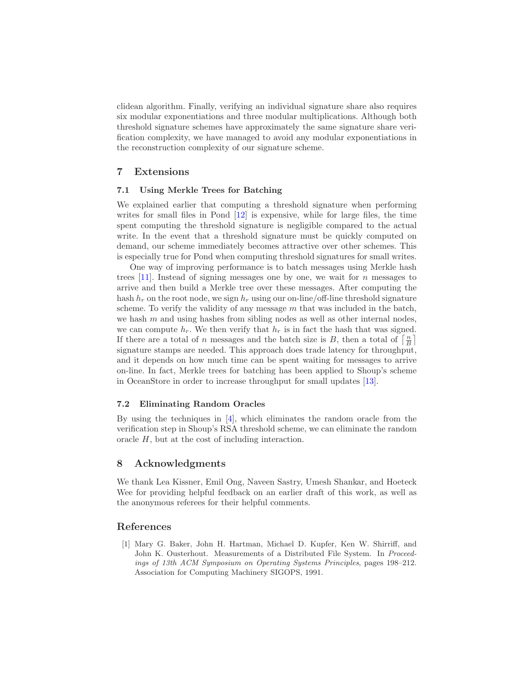clidean algorithm. Finally, verifying an individual signature share also requires six modular exponentiations and three modular multiplications. Although both threshold signature schemes have approximately the same signature share verification complexity, we have managed to avoid any modular exponentiations in the reconstruction complexity of our signature scheme.

# <span id="page-15-1"></span>7 Extensions

## 7.1 Using Merkle Trees for Batching

We explained earlier that computing a threshold signature when performing writes for small files in Pond  $[12]$  is expensive, while for large files, the time spent computing the threshold signature is negligible compared to the actual write. In the event that a threshold signature must be quickly computed on demand, our scheme immediately becomes attractive over other schemes. This is especially true for Pond when computing threshold signatures for small writes.

One way of improving performance is to batch messages using Merkle hash trees [\[11\]](#page-16-16). Instead of signing messages one by one, we wait for  $n$  messages to arrive and then build a Merkle tree over these messages. After computing the hash  $h_r$  on the root node, we sign  $h_r$  using our on-line/off-line threshold signature scheme. To verify the validity of any message  $m$  that was included in the batch, we hash  $m$  and using hashes from sibling nodes as well as other internal nodes, we can compute  $h_r$ . We then verify that  $h_r$  is in fact the hash that was signed. If there are a total of n messages and the batch size is B, then a total of  $\lceil \frac{n}{B} \rceil$ signature stamps are needed. This approach does trade latency for throughput, and it depends on how much time can be spent waiting for messages to arrive on-line. In fact, Merkle trees for batching has been applied to Shoup's scheme in OceanStore in order to increase throughput for small updates [\[13\]](#page-16-17).

## 7.2 Eliminating Random Oracles

By using the techniques in  $[4]$ , which eliminates the random oracle from the verification step in Shoup's RSA threshold scheme, we can eliminate the random oracle H, but at the cost of including interaction.

## 8 Acknowledgments

We thank Lea Kissner, Emil Ong, Naveen Sastry, Umesh Shankar, and Hoeteck Wee for providing helpful feedback on an earlier draft of this work, as well as the anonymous referees for their helpful comments.

# <span id="page-15-0"></span>References

[1] Mary G. Baker, John H. Hartman, Michael D. Kupfer, Ken W. Shirriff, and John K. Ousterhout. Measurements of a Distributed File System. In Proceedings of 13th ACM Symposium on Operating Systems Principles, pages 198–212. Association for Computing Machinery SIGOPS, 1991.